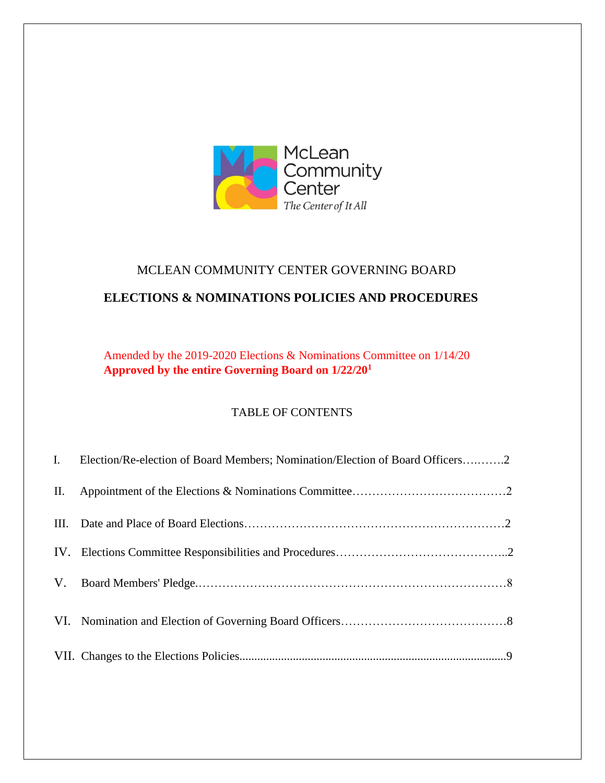

# MCLEAN COMMUNITY CENTER GOVERNING BOARD

# **ELECTIONS & NOMINATIONS POLICIES AND PROCEDURES**

Amended by the 2019-2020 Elections & Nominations Committee on 1/14/20 **Approved by the entire Governing Board on 1/22/20<sup>1</sup>**

# TABLE OF CONTENTS

|     | I. Election/Re-election of Board Members; Nomination/Election of Board Officers2 |
|-----|----------------------------------------------------------------------------------|
| II. |                                                                                  |
|     |                                                                                  |
|     |                                                                                  |
|     |                                                                                  |
|     |                                                                                  |
|     |                                                                                  |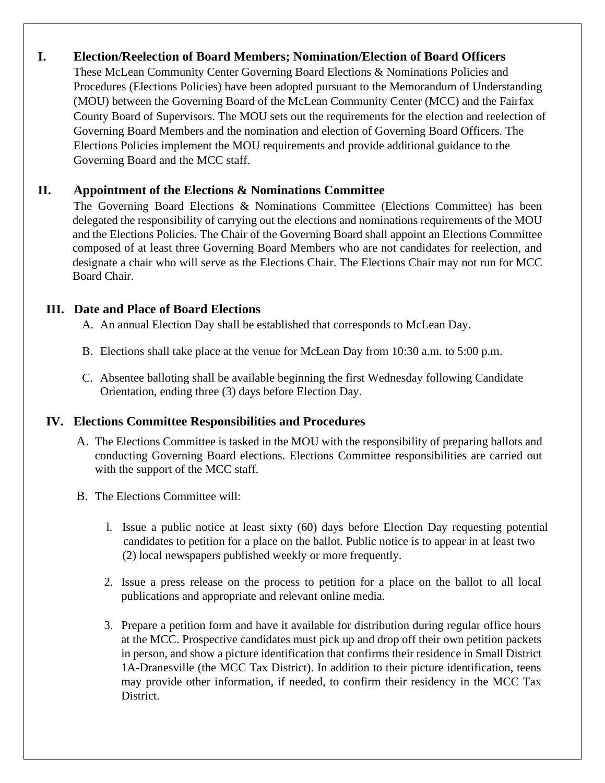# **I. Election/Reelection of Board Members; Nomination/Election of Board Officers**

These McLean Community Center Governing Board Elections & Nominations Policies and Procedures (Elections Policies) have been adopted pursuant to the Memorandum of Understanding (MOU) between the Governing Board of the McLean Community Center (MCC) and the Fairfax County Board of Supervisors. The MOU sets out the requirements for the election and reelection of Governing Board Members and the nomination and election of Governing Board Officers. The Elections Policies implement the MOU requirements and provide additional guidance to the Governing Board and the MCC staff.

# **II. Appointment of the Elections & Nominations Committee**

The Governing Board Elections & Nominations Committee (Elections Committee) has been delegated the responsibility of carrying out the elections and nominations requirements of the MOU and the Elections Policies. The Chair of the Governing Board shall appoint an Elections Committee composed of at least three Governing Board Members who are not candidates for reelection, and designate a chair who will serve as the Elections Chair. The Elections Chair may not run for MCC Board Chair.

### **III. Date and Place of Board Elections**

A. An annual Election Day shall be established that corresponds to McLean Day.

- B. Elections shall take place at the venue for McLean Day from 10:30 a.m. to 5:00 p.m.
- C. Absentee balloting shall be available beginning the first Wednesday following Candidate Orientation, ending three (3) days before Election Day.

# **IV. Elections Committee Responsibilities and Procedures**

- A. The Elections Committee is tasked in the MOU with the responsibility of preparing ballots and conducting Governing Board elections. Elections Committee responsibilities are carried out with the support of the MCC staff.
- B. The Elections Committee will:
	- l. Issue a public notice at least sixty (60) days before Election Day requesting potential candidates to petition for a place on the ballot. Public notice is to appear in at least two (2) local newspapers published weekly or more frequently.
	- 2. Issue a press release on the process to petition for a place on the ballot to all local publications and appropriate and relevant online media.
	- 3. Prepare a petition form and have it available for distribution during regular office hours at the MCC. Prospective candidates must pick up and drop off their own petition packets in person, and show a picture identification that confirms their residence in Small District 1A-Dranesville (the MCC Tax District). In addition to their picture identification, teens may provide other information, if needed, to confirm their residency in the MCC Tax District.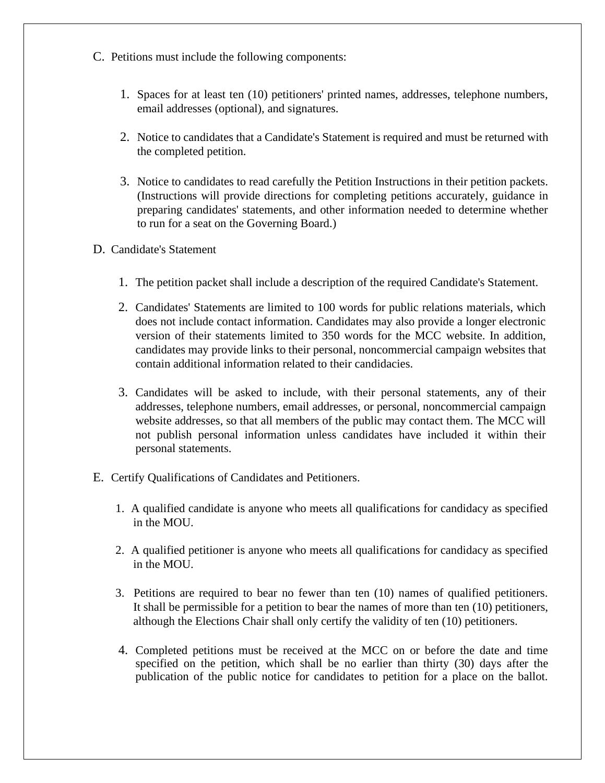- C. Petitions must include the following components:
	- 1. Spaces for at least ten (10) petitioners' printed names, addresses, telephone numbers, email addresses (optional), and signatures.
	- 2. Notice to candidates that a Candidate's Statement is required and must be returned with the completed petition.
	- 3. Notice to candidates to read carefully the Petition Instructions in their petition packets. (Instructions will provide directions for completing petitions accurately, guidance in preparing candidates' statements, and other information needed to determine whether to run for a seat on the Governing Board.)
- D. Candidate's Statement
	- 1. The petition packet shall include a description of the required Candidate's Statement.
	- 2. Candidates' Statements are limited to 100 words for public relations materials, which does not include contact information. Candidates may also provide a longer electronic version of their statements limited to 350 words for the MCC website. In addition, candidates may provide links to their personal, noncommercial campaign websites that contain additional information related to their candidacies.
	- 3. Candidates will be asked to include, with their personal statements, any of their addresses, telephone numbers, email addresses, or personal, noncommercial campaign website addresses, so that all members of the public may contact them. The MCC will not publish personal information unless candidates have included it within their personal statements.
- E. Certify Qualifications of Candidates and Petitioners.
	- 1. A qualified candidate is anyone who meets all qualifications for candidacy as specified in the MOU.
	- 2. A qualified petitioner is anyone who meets all qualifications for candidacy as specified in the MOU.
	- 3. Petitions are required to bear no fewer than ten (10) names of qualified petitioners. It shall be permissible for a petition to bear the names of more than ten (10) petitioners, although the Elections Chair shall only certify the validity of ten (10) petitioners.
	- 4. Completed petitions must be received at the MCC on or before the date and time specified on the petition, which shall be no earlier than thirty (30) days after the publication of the public notice for candidates to petition for a place on the ballot.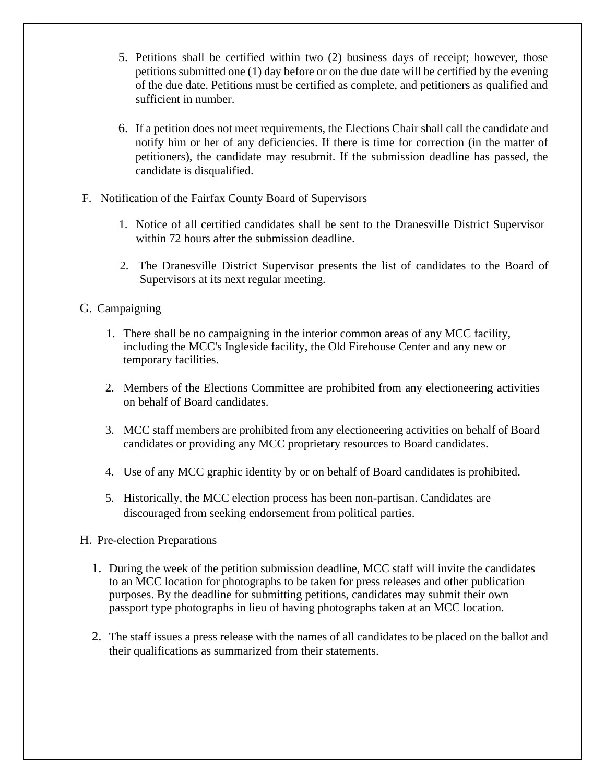- 5. Petitions shall be certified within two (2) business days of receipt; however, those petitions submitted one (1) day before or on the due date will be certified by the evening of the due date. Petitions must be certified as complete, and petitioners as qualified and sufficient in number.
- 6. If a petition does not meet requirements, the Elections Chair shall call the candidate and notify him or her of any deficiencies. If there is time for correction (in the matter of petitioners), the candidate may resubmit. If the submission deadline has passed, the candidate is disqualified.
- F. Notification of the Fairfax County Board of Supervisors
	- 1. Notice of all certified candidates shall be sent to the Dranesville District Supervisor within 72 hours after the submission deadline.
	- 2. The Dranesville District Supervisor presents the list of candidates to the Board of Supervisors at its next regular meeting.

### G. Campaigning

- 1. There shall be no campaigning in the interior common areas of any MCC facility, including the MCC's Ingleside facility, the Old Firehouse Center and any new or temporary facilities.
- 2. Members of the Elections Committee are prohibited from any electioneering activities on behalf of Board candidates.
- 3. MCC staff members are prohibited from any electioneering activities on behalf of Board candidates or providing any MCC proprietary resources to Board candidates.
- 4. Use of any MCC graphic identity by or on behalf of Board candidates is prohibited.
- 5. Historically, the MCC election process has been non-partisan. Candidates are discouraged from seeking endorsement from political parties.

#### H. Pre-election Preparations

- 1. During the week of the petition submission deadline, MCC staff will invite the candidates to an MCC location for photographs to be taken for press releases and other publication purposes. By the deadline for submitting petitions, candidates may submit their own passport type photographs in lieu of having photographs taken at an MCC location.
- 2. The staff issues a press release with the names of all candidates to be placed on the ballot and their qualifications as summarized from their statements.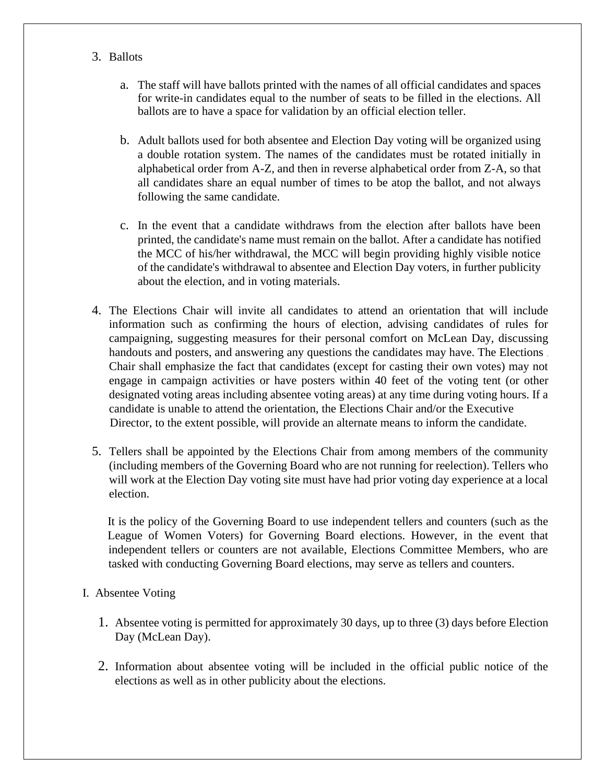- 3. Ballots
	- a. The staff will have ballots printed with the names of all official candidates and spaces for write-in candidates equal to the number of seats to be filled in the elections. All ballots are to have a space for validation by an official election teller.
	- b. Adult ballots used for both absentee and Election Day voting will be organized using a double rotation system. The names of the candidates must be rotated initially in alphabetical order from A-Z, and then in reverse alphabetical order from Z-A, so that all candidates share an equal number of times to be atop the ballot, and not always following the same candidate.
	- c. In the event that a candidate withdraws from the election after ballots have been printed, the candidate's name must remain on the ballot. After a candidate has notified the MCC of his/her withdrawal, the MCC will begin providing highly visible notice of the candidate's withdrawal to absentee and Election Day voters, in further publicity about the election, and in voting materials.
- 4. The Elections Chair will invite all candidates to attend an orientation that will include information such as confirming the hours of election, advising candidates of rules for campaigning, suggesting measures for their personal comfort on McLean Day, discussing handouts and posters, and answering any questions the candidates may have. The Elections. Chair shall emphasize the fact that candidates (except for casting their own votes) may not engage in campaign activities or have posters within 40 feet of the voting tent (or other designated voting areas including absentee voting areas) at any time during voting hours. If a candidate is unable to attend the orientation, the Elections Chair and/or the Executive Director, to the extent possible, will provide an alternate means to inform the candidate.
- 5. Tellers shall be appointed by the Elections Chair from among members of the community (including members of the Governing Board who are not running for reelection). Tellers who will work at the Election Day voting site must have had prior voting day experience at a local election.

 It is the policy of the Governing Board to use independent tellers and counters (such as the League of Women Voters) for Governing Board elections. However, in the event that independent tellers or counters are not available, Elections Committee Members, who are tasked with conducting Governing Board elections, may serve as tellers and counters.

- I. Absentee Voting
	- 1. Absentee voting is permitted for approximately 30 days, up to three (3) days before Election Day (McLean Day).
	- 2. Information about absentee voting will be included in the official public notice of the elections as well as in other publicity about the elections.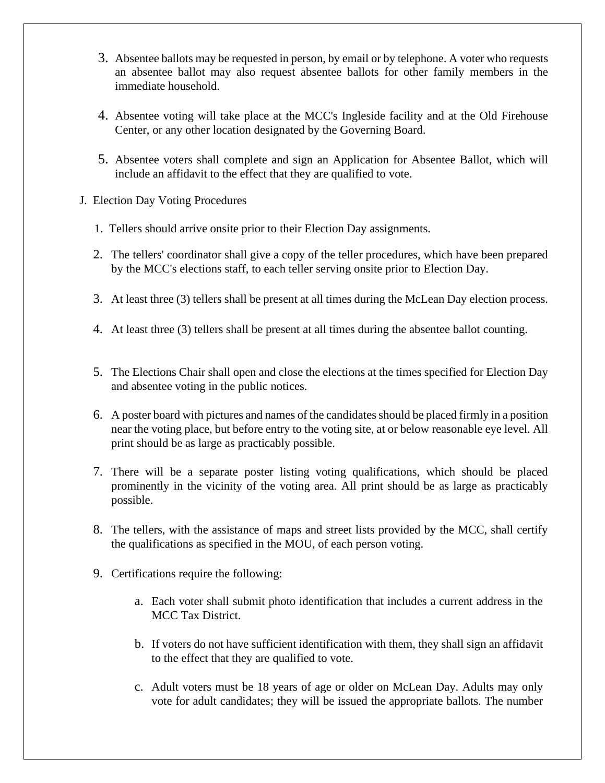- 3. Absentee ballots may be requested in person, by email or by telephone. A voter who requests an absentee ballot may also request absentee ballots for other family members in the immediate household.
- 4. Absentee voting will take place at the MCC's Ingleside facility and at the Old Firehouse Center, or any other location designated by the Governing Board.
- 5. Absentee voters shall complete and sign an Application for Absentee Ballot, which will include an affidavit to the effect that they are qualified to vote.
- J. Election Day Voting Procedures
	- 1. Tellers should arrive onsite prior to their Election Day assignments.
	- 2. The tellers' coordinator shall give a copy of the teller procedures, which have been prepared by the MCC's elections staff, to each teller serving onsite prior to Election Day.
	- 3. At least three (3) tellers shall be present at all times during the McLean Day election process.
	- 4. At least three (3) tellers shall be present at all times during the absentee ballot counting.
	- 5. The Elections Chair shall open and close the elections at the times specified for Election Day and absentee voting in the public notices.
	- 6. A poster board with pictures and names of the candidates should be placed firmly in a position near the voting place, but before entry to the voting site, at or below reasonable eye level. All print should be as large as practicably possible.
	- 7. There will be a separate poster listing voting qualifications, which should be placed prominently in the vicinity of the voting area. All print should be as large as practicably possible.
	- 8. The tellers, with the assistance of maps and street lists provided by the MCC, shall certify the qualifications as specified in the MOU, of each person voting.
	- 9. Certifications require the following:
		- a. Each voter shall submit photo identification that includes a current address in the MCC Tax District.
		- b. If voters do not have sufficient identification with them, they shall sign an affidavit to the effect that they are qualified to vote.
		- c. Adult voters must be 18 years of age or older on McLean Day. Adults may only vote for adult candidates; they will be issued the appropriate ballots. The number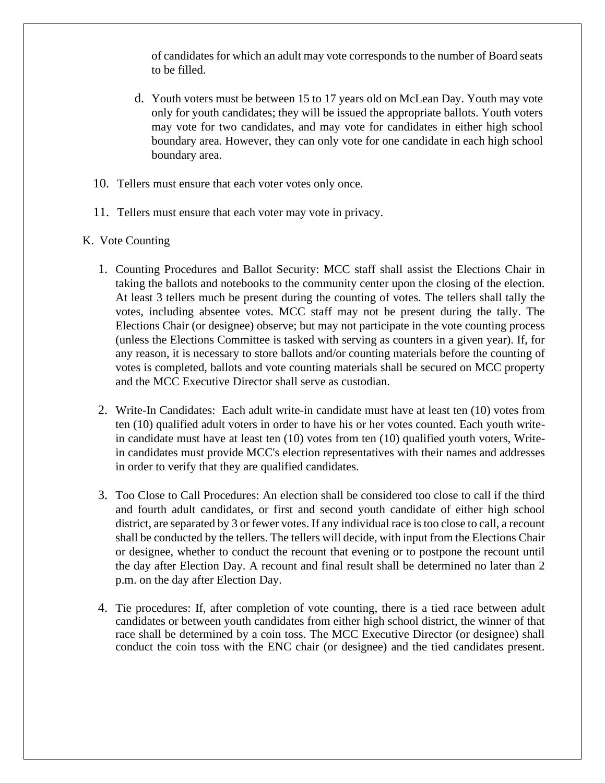of candidates for which an adult may vote corresponds to the number of Board seats to be filled.

- d. Youth voters must be between 15 to 17 years old on McLean Day. Youth may vote only for youth candidates; they will be issued the appropriate ballots. Youth voters may vote for two candidates, and may vote for candidates in either high school boundary area. However, they can only vote for one candidate in each high school boundary area.
- 10. Tellers must ensure that each voter votes only once.
- 11. Tellers must ensure that each voter may vote in privacy.
- K. Vote Counting
	- 1. Counting Procedures and Ballot Security: MCC staff shall assist the Elections Chair in taking the ballots and notebooks to the community center upon the closing of the election. At least 3 tellers much be present during the counting of votes. The tellers shall tally the votes, including absentee votes. MCC staff may not be present during the tally. The Elections Chair (or designee) observe; but may not participate in the vote counting process (unless the Elections Committee is tasked with serving as counters in a given year). If, for any reason, it is necessary to store ballots and/or counting materials before the counting of votes is completed, ballots and vote counting materials shall be secured on MCC property and the MCC Executive Director shall serve as custodian.
	- 2. Write-In Candidates: Each adult write-in candidate must have at least ten (10) votes from ten (10) qualified adult voters in order to have his or her votes counted. Each youth writein candidate must have at least ten (10) votes from ten (10) qualified youth voters, Writein candidates must provide MCC's election representatives with their names and addresses in order to verify that they are qualified candidates.
	- 3. Too Close to Call Procedures: An election shall be considered too close to call if the third and fourth adult candidates, or first and second youth candidate of either high school district, are separated by 3 or fewer votes. If any individual race is too close to call, a recount shall be conducted by the tellers. The tellers will decide, with input from the Elections Chair or designee, whether to conduct the recount that evening or to postpone the recount until the day after Election Day. A recount and final result shall be determined no later than 2 p.m. on the day after Election Day.
	- 4. Tie procedures: If, after completion of vote counting, there is a tied race between adult candidates or between youth candidates from either high school district, the winner of that race shall be determined by a coin toss. The MCC Executive Director (or designee) shall conduct the coin toss with the ENC chair (or designee) and the tied candidates present.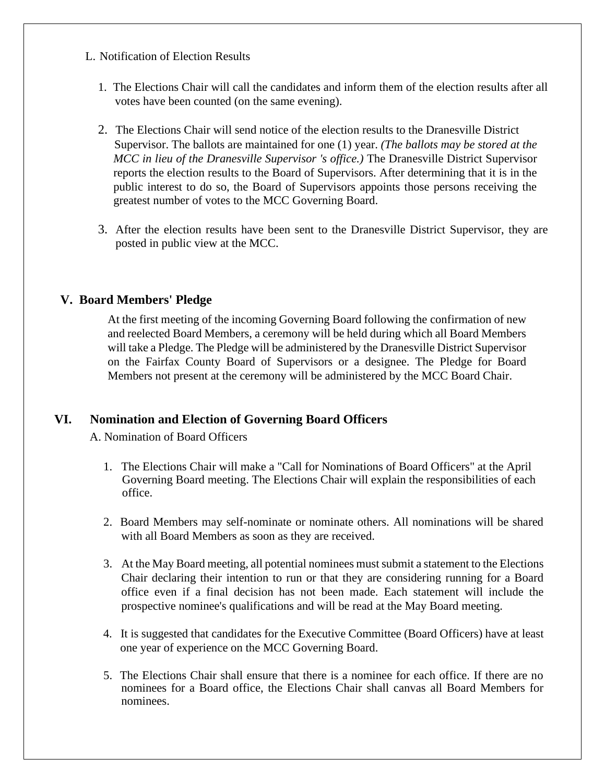- L. Notification of Election Results
	- 1. The Elections Chair will call the candidates and inform them of the election results after all votes have been counted (on the same evening).
	- 2. The Elections Chair will send notice of the election results to the Dranesville District Supervisor. The ballots are maintained for one (1) year. *(The ballots may be stored at the MCC in lieu of the Dranesville Supervisor 's office.)* The Dranesville District Supervisor reports the election results to the Board of Supervisors. After determining that it is in the public interest to do so, the Board of Supervisors appoints those persons receiving the greatest number of votes to the MCC Governing Board.
	- 3. After the election results have been sent to the Dranesville District Supervisor, they are posted in public view at the MCC.

# **V. Board Members' Pledge**

At the first meeting of the incoming Governing Board following the confirmation of new and reelected Board Members, a ceremony will be held during which all Board Members will take a Pledge. The Pledge will be administered by the Dranesville District Supervisor on the Fairfax County Board of Supervisors or a designee. The Pledge for Board Members not present at the ceremony will be administered by the MCC Board Chair.

### **VI. Nomination and Election of Governing Board Officers**

A. Nomination of Board Officers

- 1. The Elections Chair will make a "Call for Nominations of Board Officers" at the April Governing Board meeting. The Elections Chair will explain the responsibilities of each office.
- 2. Board Members may self-nominate or nominate others. All nominations will be shared with all Board Members as soon as they are received.
- 3. At the May Board meeting, all potential nominees must submit a statement to the Elections Chair declaring their intention to run or that they are considering running for a Board office even if a final decision has not been made. Each statement will include the prospective nominee's qualifications and will be read at the May Board meeting.
- 4. It is suggested that candidates for the Executive Committee (Board Officers) have at least one year of experience on the MCC Governing Board.
- 5. The Elections Chair shall ensure that there is a nominee for each office. If there are no nominees for a Board office, the Elections Chair shall canvas all Board Members for nominees.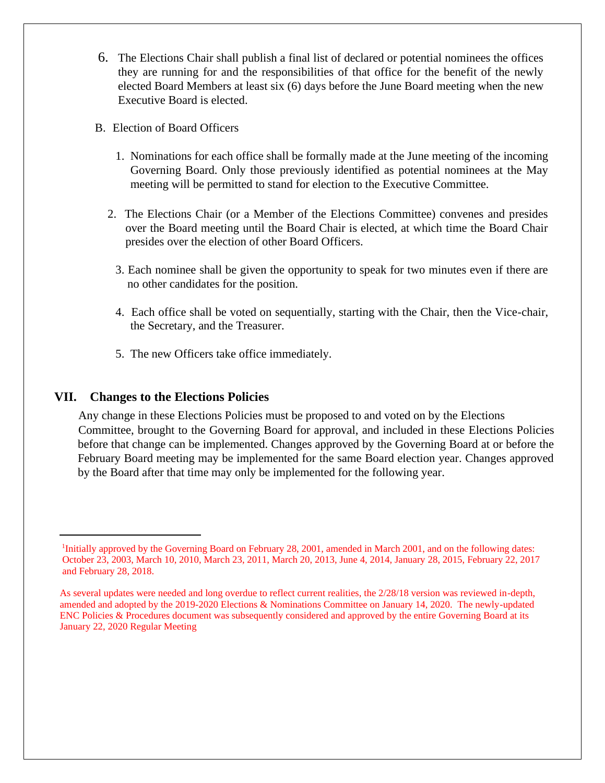- 6. The Elections Chair shall publish a final list of declared or potential nominees the offices they are running for and the responsibilities of that office for the benefit of the newly elected Board Members at least six (6) days before the June Board meeting when the new Executive Board is elected.
- B. Election of Board Officers
	- 1. Nominations for each office shall be formally made at the June meeting of the incoming Governing Board. Only those previously identified as potential nominees at the May meeting will be permitted to stand for election to the Executive Committee.
	- 2. The Elections Chair (or a Member of the Elections Committee) convenes and presides over the Board meeting until the Board Chair is elected, at which time the Board Chair presides over the election of other Board Officers.
		- 3. Each nominee shall be given the opportunity to speak for two minutes even if there are no other candidates for the position.
		- 4. Each office shall be voted on sequentially, starting with the Chair, then the Vice-chair, the Secretary, and the Treasurer.
		- 5. The new Officers take office immediately.

### **VII. Changes to the Elections Policies**

Any change in these Elections Policies must be proposed to and voted on by the Elections Committee, brought to the Governing Board for approval, and included in these Elections Policies before that change can be implemented. Changes approved by the Governing Board at or before the February Board meeting may be implemented for the same Board election year. Changes approved by the Board after that time may only be implemented for the following year.

<sup>&</sup>lt;sup>1</sup>Initially approved by the Governing Board on February 28, 2001, amended in March 2001, and on the following dates: October 23, 2003, March 10, 2010, March 23, 2011, March 20, 2013, June 4, 2014, January 28, 2015, February 22, 2017 and February 28, 2018.

As several updates were needed and long overdue to reflect current realities, the 2/28/18 version was reviewed in-depth, amended and adopted by the 2019-2020 Elections & Nominations Committee on January 14, 2020. The newly-updated ENC Policies & Procedures document was subsequently considered and approved by the entire Governing Board at its January 22, 2020 Regular Meeting